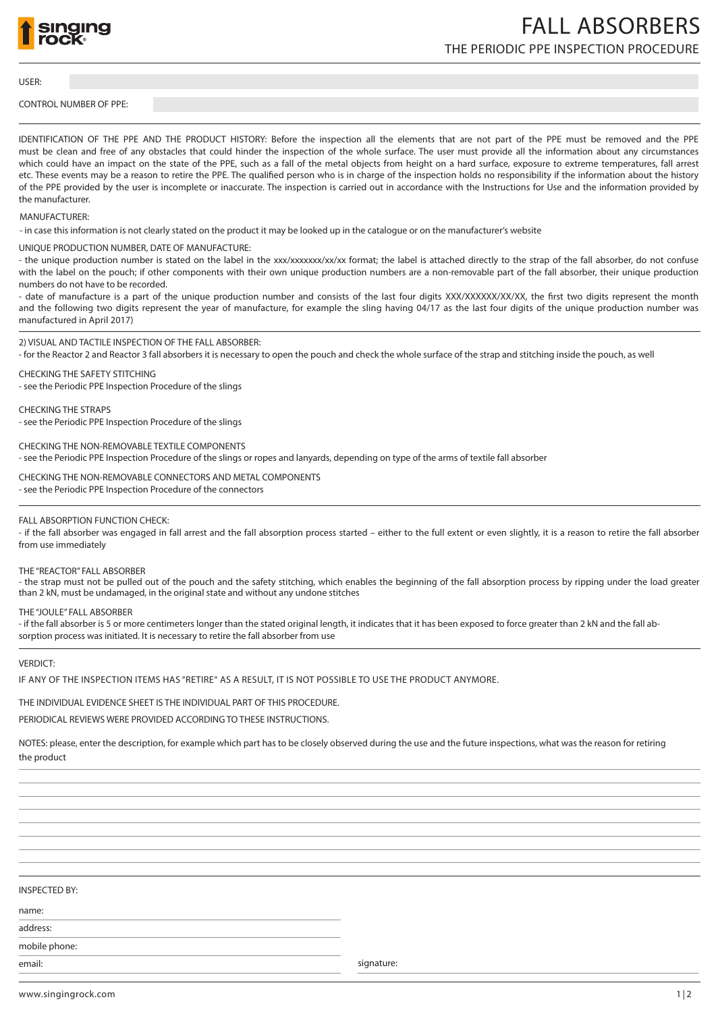

# THE PERIODIC PPE INSPECTION PROCEDURE FALL ABSORBERS

USER:

## CONTROL NUMBER OF PPE:

IDENTIFICATION OF THE PPE AND THE PRODUCT HISTORY: Before the inspection all the elements that are not part of the PPE must be removed and the PPE must be clean and free of any obstacles that could hinder the inspection of the whole surface. The user must provide all the information about any circumstances which could have an impact on the state of the PPE, such as a fall of the metal objects from height on a hard surface, exposure to extreme temperatures, fall arrest etc. These events may be a reason to retire the PPE. The qualified person who is in charge of the inspection holds no responsibility if the information about the history of the PPE provided by the user is incomplete or inaccurate. The inspection is carried out in accordance with the Instructions for Use and the information provided by the manufacturer.

# MANUFACTURER:

- in case this information is not clearly stated on the product it may be looked up in the catalogue or on the manufacturer's website

UNIQUE PRODUCTION NUMBER, DATE OF MANUFACTURE:

- the unique production number is stated on the label in the xxx/xxxxxx/xx/xx format; the label is attached directly to the strap of the fall absorber, do not confuse with the label on the pouch; if other components with their own unique production numbers are a non-removable part of the fall absorber, their unique production numbers do not have to be recorded.

- date of manufacture is a part of the unique production number and consists of the last four digits XXX/XXXXXX/XX/XX, the first two digits represent the month and the following two digits represent the year of manufacture, for example the sling having 04/17 as the last four digits of the unique production number was manufactured in April 2017)

2) VISUAL AND TACTILE INSPECTION OF THE FALL ABSORBER:

- for the Reactor 2 and Reactor 3 fall absorbers it is necessary to open the pouch and check the whole surface of the strap and stitching inside the pouch, as well

CHECKING THE SAFETY STITCHING - see the Periodic PPE Inspection Procedure of the slings

CHECKING THE STRAPS

- see the Periodic PPE Inspection Procedure of the slings

CHECKING THE NON-REMOVABLE TEXTILE COMPONENTS

- see the Periodic PPE Inspection Procedure of the slings or ropes and lanyards, depending on type of the arms of textile fall absorber

CHECKING THE NON-REMOVABLE CONNECTORS AND METAL COMPONENTS

- see the Periodic PPE Inspection Procedure of the connectors

## FALL ABSORPTION FUNCTION CHECK:

- if the fall absorber was engaged in fall arrest and the fall absorption process started – either to the full extent or even slightly, it is a reason to retire the fall absorber from use immediately

# THE "REACTOR" FALL ABSORBER

- the strap must not be pulled out of the pouch and the safety stitching, which enables the beginning of the fall absorption process by ripping under the load greater than 2 kN, must be undamaged, in the original state and without any undone stitches

### THE "JOULE" FALL ABSORBER

- if the fall absorber is 5 or more centimeters longer than the stated original length, it indicates that it has been exposed to force greater than 2 kN and the fall absorption process was initiated. It is necessary to retire the fall absorber from use

#### VERDICT:

IF ANY OF THE INSPECTION ITEMS HAS "RETIRE" AS A RESULT, IT IS NOT POSSIBLE TO USE THE PRODUCT ANYMORE.

THE INDIVIDUAL EVIDENCE SHEET IS THE INDIVIDUAL PART OF THIS PROCEDURE.

PERIODICAL REVIEWS WERE PROVIDED ACCORDING TO THESE INSTRUCTIONS.

NOTES: please, enter the description, for example which part has to be closely observed during the use and the future inspections, what was the reason for retiring the product

## INSPECTED BY:

name:

address: mobile phone:

email: signature: signature: signature: signature: signature: signature: signature: signature: signature: signature:  $\mathcal{S}$